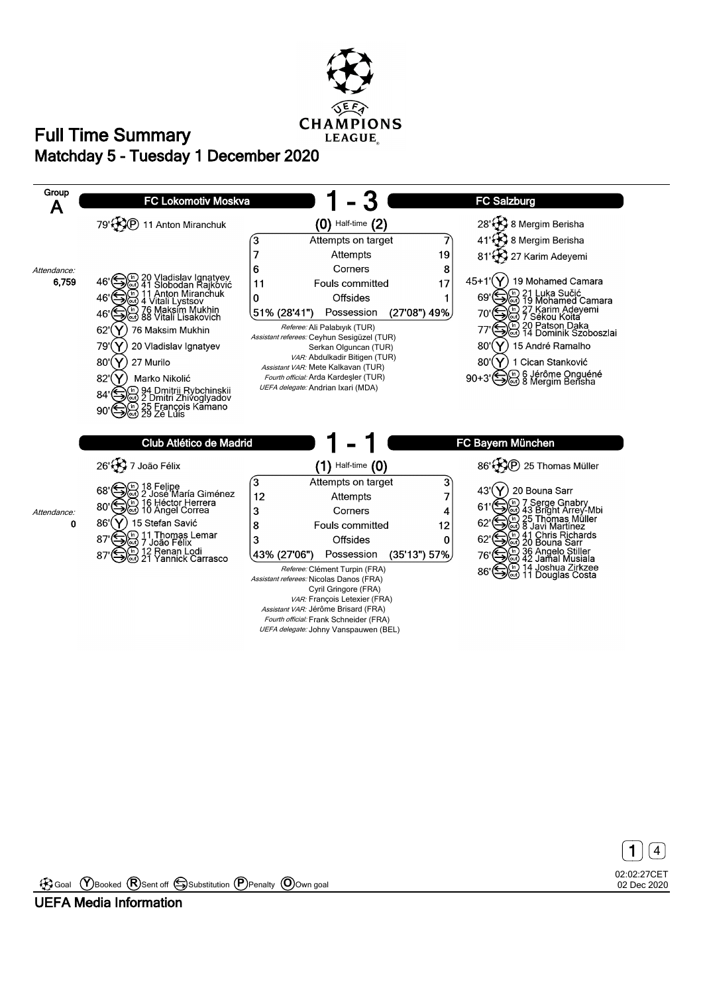





Goal **Y** Booked **R** Sent off Substitution **P** Penalty **O** Own goal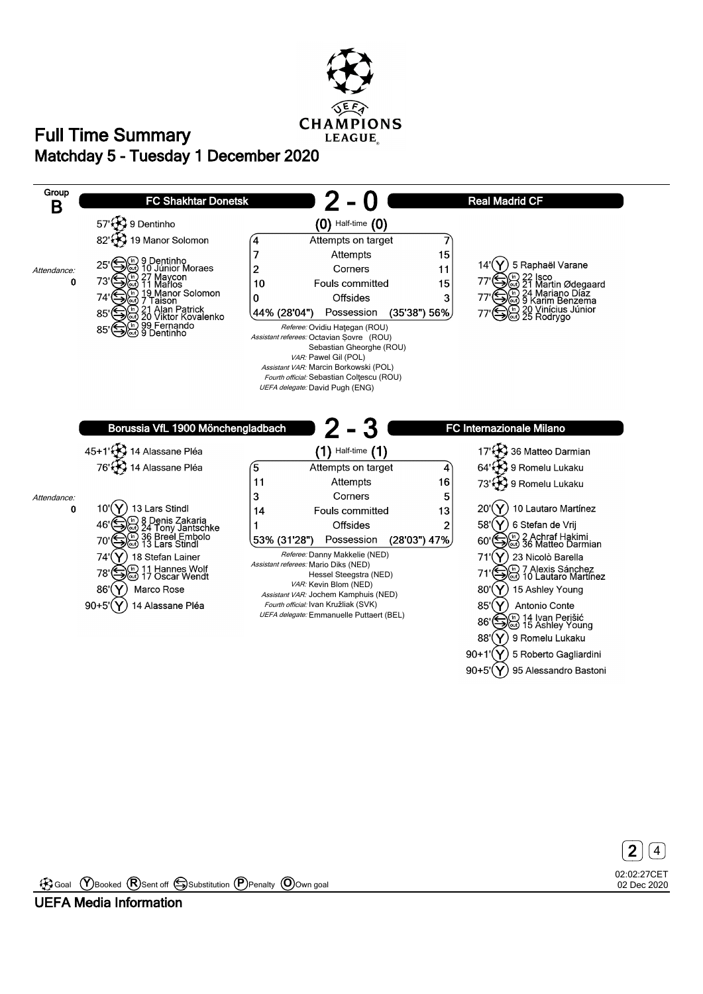





Goal **Y** Booked **R** Sent off Substitution **P** Penalty **O** Own goal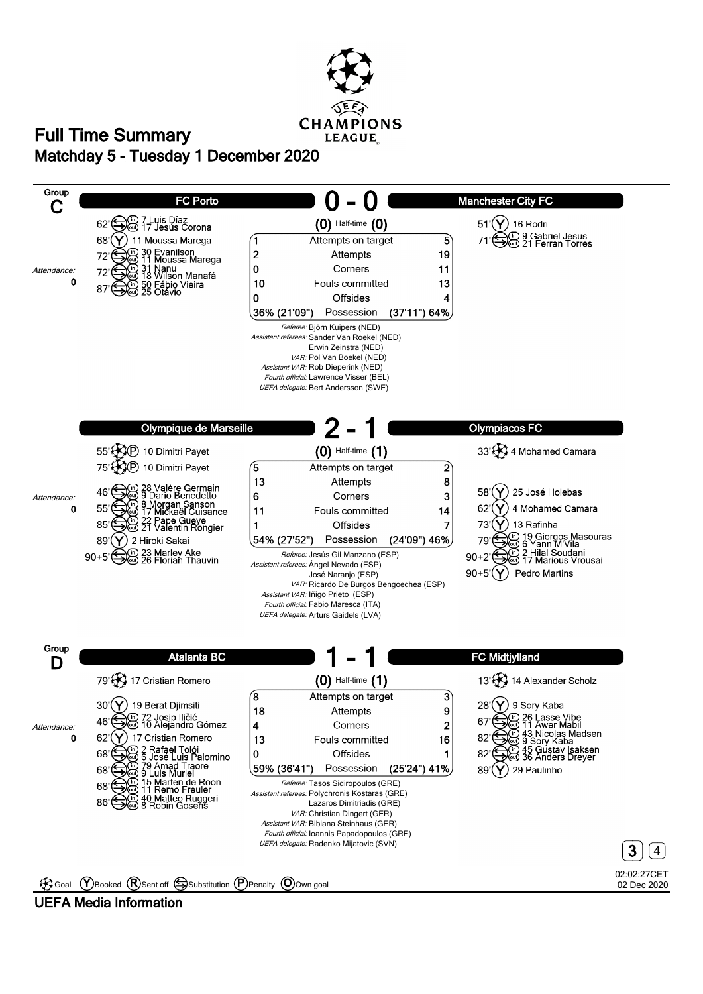